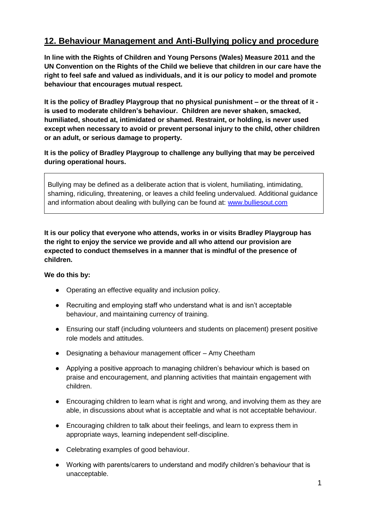## **12. Behaviour Management and Anti-Bullying policy and procedure**

**In line with the Rights of Children and Young Persons (Wales) Measure 2011 and the UN Convention on the Rights of the Child we believe that children in our care have the right to feel safe and valued as individuals, and it is our policy to model and promote behaviour that encourages mutual respect.**

**It is the policy of Bradley Playgroup that no physical punishment – or the threat of it is used to moderate children's behaviour. Children are never shaken, smacked, humiliated, shouted at, intimidated or shamed. Restraint, or holding, is never used except when necessary to avoid or prevent personal injury to the child, other children or an adult, or serious damage to property.**

**It is the policy of Bradley Playgroup to challenge any bullying that may be perceived during operational hours.** 

Bullying may be defined as a deliberate action that is violent, humiliating, intimidating, shaming, ridiculing, threatening, or leaves a child feeling undervalued. Additional guidance and information about dealing with bullying can be found at: [www.bulliesout.com](http://www.bulliesout.com/)

**It is our policy that everyone who attends, works in or visits Bradley Playgroup has the right to enjoy the service we provide and all who attend our provision are expected to conduct themselves in a manner that is mindful of the presence of children.** 

## **We do this by:**

- Operating an effective equality and inclusion policy.
- Recruiting and employing staff who understand what is and isn't acceptable behaviour, and maintaining currency of training.
- Ensuring our staff (including volunteers and students on placement) present positive role models and attitudes.
- Designating a behaviour management officer Amy Cheetham
- Applying a positive approach to managing children's behaviour which is based on praise and encouragement, and planning activities that maintain engagement with children.
- Encouraging children to learn what is right and wrong, and involving them as they are able, in discussions about what is acceptable and what is not acceptable behaviour.
- Encouraging children to talk about their feelings, and learn to express them in appropriate ways, learning independent self-discipline.
- Celebrating examples of good behaviour.
- Working with parents/carers to understand and modify children's behaviour that is unacceptable.